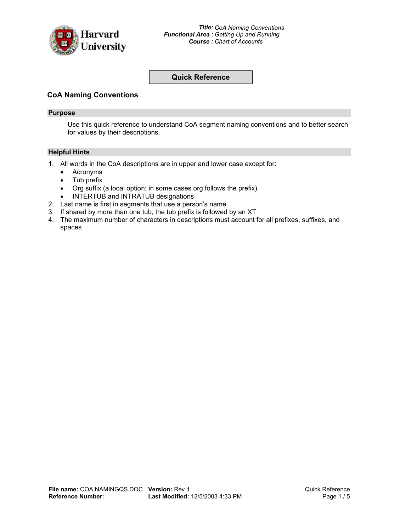

# **Quick Reference**

# **CoA Naming Conventions**

#### **Purpose**

Use this quick reference to understand CoA segment naming conventions and to better search for values by their descriptions.

#### **Helpful Hints**

- 1. All words in the CoA descriptions are in upper and lower case except for:
	- Acronyms
	- Tub prefix
	- Org suffix (a local option; in some cases org follows the prefix)
	- INTERTUB and INTRATUB designations
- 2. Last name is first in segments that use a person's name
- 3. If shared by more than one tub, the tub prefix is followed by an XT
- 4. The maximum number of characters in descriptions must account for all prefixes, suffixes, and spaces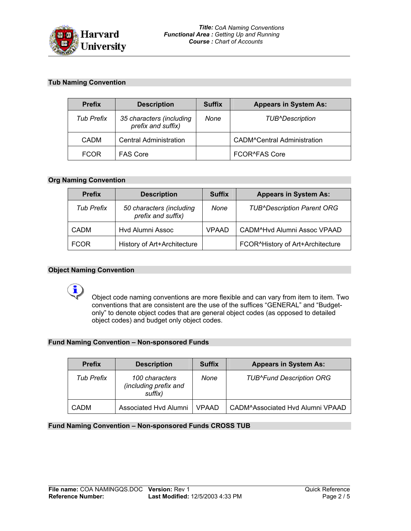

## **Tub Naming Convention**

| <b>Prefix</b>     | <b>Description</b>                             | <b>Suffix</b> | <b>Appears in System As:</b>       |
|-------------------|------------------------------------------------|---------------|------------------------------------|
| <b>Tub Prefix</b> | 35 characters (including<br>prefix and suffix) | None          | <b>TUB^Description</b>             |
| <b>CADM</b>       | <b>Central Administration</b>                  |               | <b>CADM^Central Administration</b> |
| <b>FCOR</b>       | <b>FAS Core</b>                                |               | <b>FCOR^FAS Core</b>               |

## **Org Naming Convention**

| <b>Prefix</b>     | <b>Description</b>                             | <b>Suffix</b> | <b>Appears in System As:</b>      |
|-------------------|------------------------------------------------|---------------|-----------------------------------|
| <b>Tub Prefix</b> | 50 characters (including<br>prefix and suffix) | None          | <b>TUB^Description Parent ORG</b> |
| <b>CADM</b>       | Hvd Alumni Assoc                               | <b>VPAAD</b>  | CADM^Hvd Alumni Assoc VPAAD       |
| <b>FCOR</b>       | History of Art+Architecture                    |               | FCOR^History of Art+Architecture  |

#### **Object Naming Convention**

i

Object code naming conventions are more flexible and can vary from item to item. Two conventions that are consistent are the use of the suffices "GENERAL" and "Budgetonly" to denote object codes that are general object codes (as opposed to detailed object codes) and budget only object codes.

#### **Fund Naming Convention – Non-sponsored Funds**

| <b>Prefix</b> | <b>Description</b>                                 | <b>Suffix</b> | <b>Appears in System As:</b>     |
|---------------|----------------------------------------------------|---------------|----------------------------------|
| Tub Prefix    | 100 characters<br>(including prefix and<br>suffix) | None          | <b>TUB^Fund Description ORG</b>  |
| <b>CADM</b>   | Associated Hvd Alumni                              | <b>VPAAD</b>  | CADM^Associated Hvd Alumni VPAAD |

**Fund Naming Convention – Non-sponsored Funds CROSS TUB**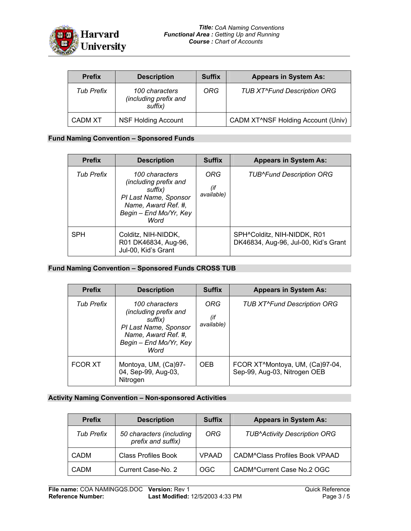

| <b>Prefix</b> | <b>Description</b>                                 | <b>Suffix</b> | <b>Appears in System As:</b>                    |
|---------------|----------------------------------------------------|---------------|-------------------------------------------------|
| Tub Prefix    | 100 characters<br>(including prefix and<br>suffix) | ORG           | <b>TUB XT^Fund Description ORG</b>              |
| CADM XT       | <b>NSF Holding Account</b>                         |               | CADM XT <sup>^</sup> NSF Holding Account (Univ) |

#### **Fund Naming Convention – Sponsored Funds**

| <b>Prefix</b>     | <b>Description</b>                                                                                                                   | <b>Suffix</b>            | <b>Appears in System As:</b>                                        |
|-------------------|--------------------------------------------------------------------------------------------------------------------------------------|--------------------------|---------------------------------------------------------------------|
| <b>Tub Prefix</b> | 100 characters<br>(including prefix and<br>suffix)<br>PI Last Name, Sponsor<br>Name, Award Ref. #,<br>Begin - End Mo/Yr, Key<br>Word | ORG<br>(if<br>available) | <b>TUB^Fund Description ORG</b>                                     |
| <b>SPH</b>        | Colditz, NIH-NIDDK,<br>R01 DK46834, Aug-96,<br>Jul-00, Kid's Grant                                                                   |                          | SPH^Colditz, NIH-NIDDK, R01<br>DK46834, Aug-96, Jul-00, Kid's Grant |

### **Fund Naming Convention – Sponsored Funds CROSS TUB**

| <b>Prefix</b>     | <b>Description</b>                                                                                                                   | <b>Suffix</b>            | <b>Appears in System As:</b>                                                 |
|-------------------|--------------------------------------------------------------------------------------------------------------------------------------|--------------------------|------------------------------------------------------------------------------|
| <b>Tub Prefix</b> | 100 characters<br>(including prefix and<br>suffix)<br>PI Last Name, Sponsor<br>Name, Award Ref. #,<br>Begin - End Mo/Yr, Key<br>Word | ORG<br>(if<br>available) | <b>TUB XT^Fund Description ORG</b>                                           |
| <b>FCOR XT</b>    | Montoya, UM, (Ca)97-<br>04, Sep-99, Aug-03,<br>Nitrogen                                                                              | <b>OEB</b>               | FCOR XT <sup>^</sup> Montoya, UM, (Ca)97-04,<br>Sep-99, Aug-03, Nitrogen OEB |

#### **Activity Naming Convention – Non-sponsored Activities**

| <b>Prefix</b>     | <b>Description</b>                             | <b>Suffix</b> | <b>Appears in System As:</b>          |
|-------------------|------------------------------------------------|---------------|---------------------------------------|
| <b>Tub Prefix</b> | 50 characters (including<br>prefix and suffix) | <b>ORG</b>    | <b>TUB^Activity Description ORG</b>   |
| <b>CADM</b>       | <b>Class Profiles Book</b>                     | <b>VPAAD</b>  | <b>CADM^Class Profiles Book VPAAD</b> |
| <b>CADM</b>       | Current Case-No. 2                             | <b>OGC</b>    | CADM^Current Case No.2 OGC            |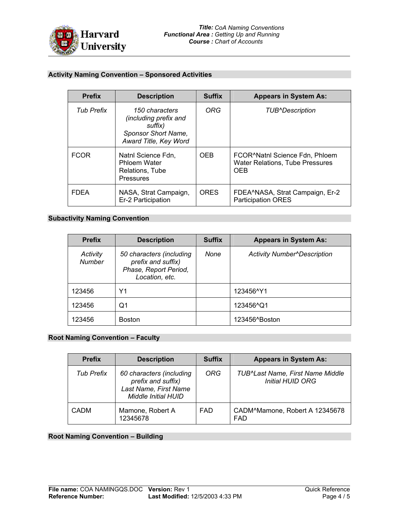

# **Activity Naming Convention – Sponsored Activities**

| <b>Prefix</b>     | <b>Description</b>                                                                                 | <b>Suffix</b> | <b>Appears in System As:</b>                                                                        |
|-------------------|----------------------------------------------------------------------------------------------------|---------------|-----------------------------------------------------------------------------------------------------|
| <b>Tub Prefix</b> | 150 characters<br>(including prefix and<br>suffix)<br>Sponsor Short Name,<br>Award Title, Key Word | ORG           | <b>TUB^Description</b>                                                                              |
| <b>FCOR</b>       | Nathl Science Fdn.<br><b>Phloem Water</b><br>Relations, Tube<br><b>Pressures</b>                   | <b>OEB</b>    | FCOR <sup>A</sup> Nathl Science Fdn, Phloem<br><b>Water Relations, Tube Pressures</b><br><b>OEB</b> |
| <b>FDFA</b>       | NASA, Strat Campaign,<br>Er-2 Participation                                                        | <b>ORES</b>   | FDEA^NASA, Strat Campaign, Er-2<br><b>Participation ORES</b>                                        |

# **Subactivity Naming Convention**

| <b>Prefix</b>             | <b>Description</b>                                                                        | <b>Suffix</b> | <b>Appears in System As:</b>       |
|---------------------------|-------------------------------------------------------------------------------------------|---------------|------------------------------------|
| Activity<br><b>Number</b> | 50 characters (including<br>prefix and suffix)<br>Phase, Report Period,<br>Location, etc. | None          | <b>Activity Number^Description</b> |
| 123456                    | Υ1                                                                                        |               | 123456^Y1                          |
| 123456                    | Q1                                                                                        |               | 123456 <sup>A</sup> Q1             |
| 123456                    | <b>Boston</b>                                                                             |               | 123456^Boston                      |

## **Root Naming Convention – Faculty**

| <b>Prefix</b>     | <b>Description</b>                                                                                    | <b>Suffix</b> | <b>Appears in System As:</b>                         |
|-------------------|-------------------------------------------------------------------------------------------------------|---------------|------------------------------------------------------|
| <b>Tub Prefix</b> | 60 characters (including<br>prefix and suffix)<br>Last Name, First Name<br><b>Middle Initial HUID</b> | <b>ORG</b>    | TUB^Last Name, First Name Middle<br>Initial HUID ORG |
| <b>CADM</b>       | Mamone, Robert A<br>12345678                                                                          | <b>FAD</b>    | CADM <sup>^</sup> Mamone, Robert A 12345678<br>FAD   |

# **Root Naming Convention – Building**